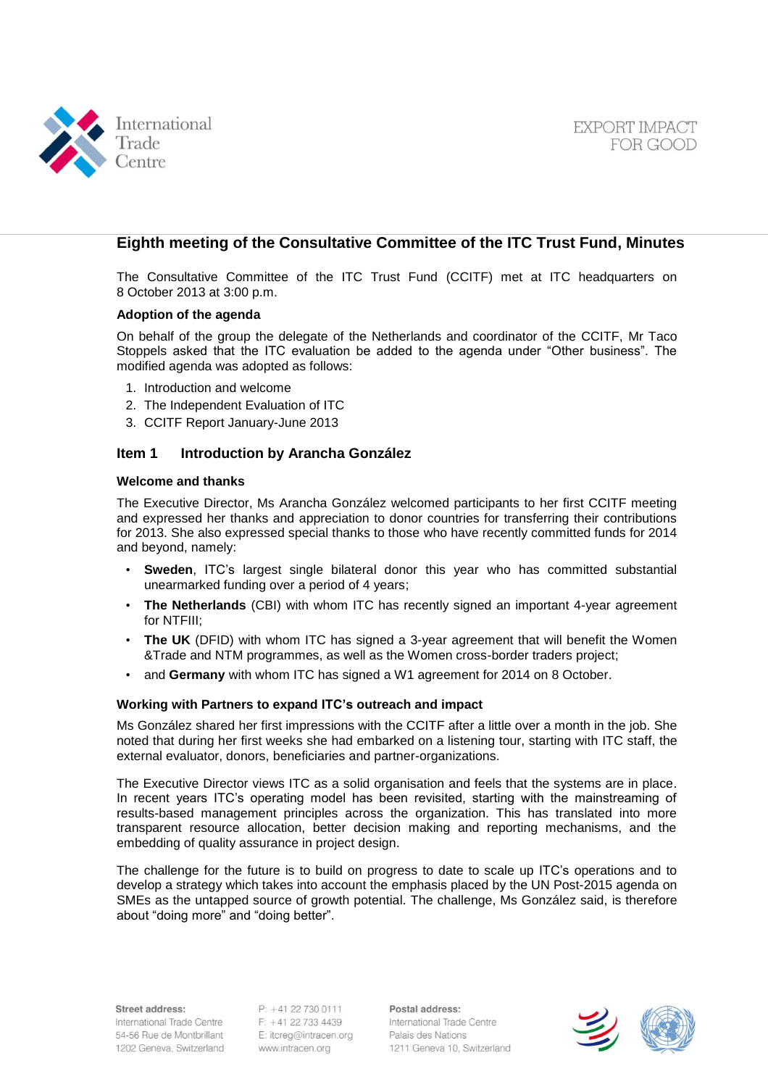



# **Eighth meeting of the Consultative Committee of the ITC Trust Fund, Minutes**

The Consultative Committee of the ITC Trust Fund (CCITF) met at ITC headquarters on 8 October 2013 at 3:00 p.m.

#### **Adoption of the agenda**

On behalf of the group the delegate of the Netherlands and coordinator of the CCITF, Mr Taco Stoppels asked that the ITC evaluation be added to the agenda under "Other business". The modified agenda was adopted as follows:

- 1. Introduction and welcome
- 2. The Independent Evaluation of ITC
- 3. CCITF Report January-June 2013

#### **Item 1 Introduction by Arancha González**

#### **Welcome and thanks**

The Executive Director, Ms Arancha González welcomed participants to her first CCITF meeting and expressed her thanks and appreciation to donor countries for transferring their contributions for 2013. She also expressed special thanks to those who have recently committed funds for 2014 and beyond, namely:

- **Sweden**, ITC's largest single bilateral donor this year who has committed substantial unearmarked funding over a period of 4 years;
- **The Netherlands** (CBI) with whom ITC has recently signed an important 4-year agreement for NTFIII;
- **The UK** (DFID) with whom ITC has signed a 3-year agreement that will benefit the Women &Trade and NTM programmes, as well as the Women cross-border traders project;
- and **Germany** with whom ITC has signed a W1 agreement for 2014 on 8 October.

#### **Working with Partners to expand ITC's outreach and impact**

Ms González shared her first impressions with the CCITF after a little over a month in the job. She noted that during her first weeks she had embarked on a listening tour, starting with ITC staff, the external evaluator, donors, beneficiaries and partner-organizations.

The Executive Director views ITC as a solid organisation and feels that the systems are in place. In recent years ITC's operating model has been revisited, starting with the mainstreaming of results-based management principles across the organization. This has translated into more transparent resource allocation, better decision making and reporting mechanisms, and the embedding of quality assurance in project design.

The challenge for the future is to build on progress to date to scale up ITC's operations and to develop a strategy which takes into account the emphasis placed by the UN Post-2015 agenda on SMEs as the untapped source of growth potential. The challenge, Ms González said, is therefore about "doing more" and "doing better".

Street address:

International Trade Centre 54-56 Rue de Montbrillant 1202 Geneva, Switzerland

 $P: +41$  22 730 0111 F: +41 22 733 4439 E: itcreg@intracen.org www.intracen.org

Postal address: International Trade Centre Palais des Nations 1211 Geneva 10, Switzerland

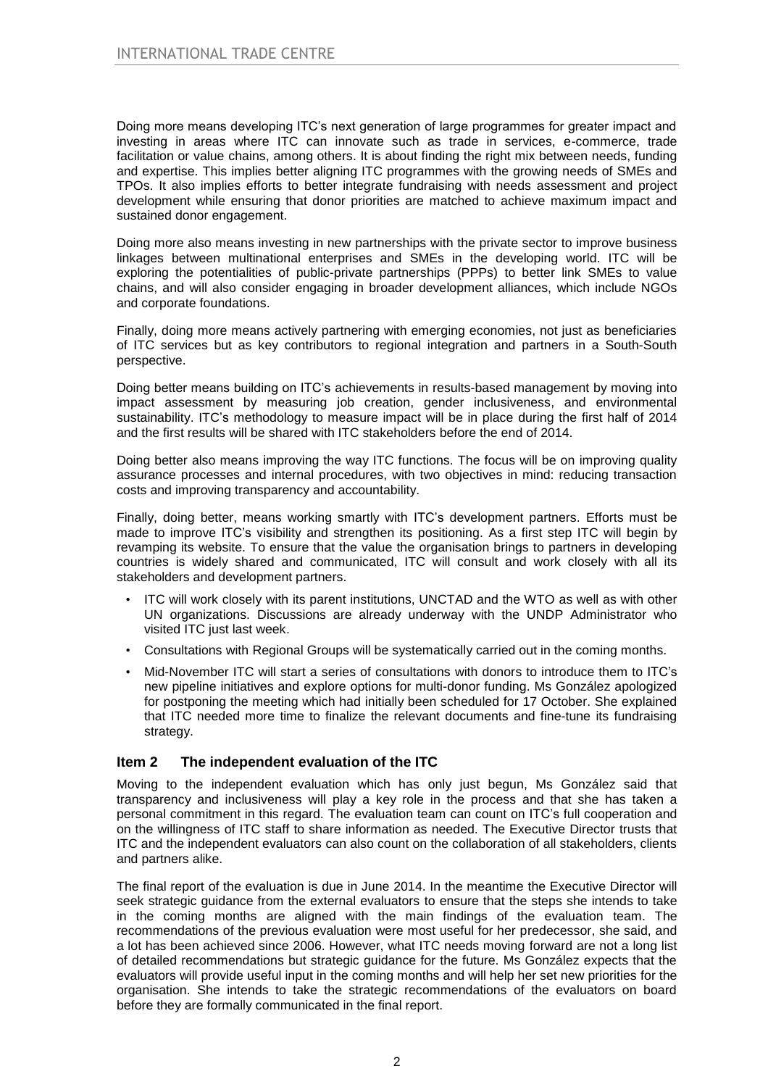Doing more means developing ITC's next generation of large programmes for greater impact and investing in areas where ITC can innovate such as trade in services, e-commerce, trade facilitation or value chains, among others. It is about finding the right mix between needs, funding and expertise. This implies better aligning ITC programmes with the growing needs of SMEs and TPOs. It also implies efforts to better integrate fundraising with needs assessment and project development while ensuring that donor priorities are matched to achieve maximum impact and sustained donor engagement.

Doing more also means investing in new partnerships with the private sector to improve business linkages between multinational enterprises and SMEs in the developing world. ITC will be exploring the potentialities of public-private partnerships (PPPs) to better link SMEs to value chains, and will also consider engaging in broader development alliances, which include NGOs and corporate foundations.

Finally, doing more means actively partnering with emerging economies, not just as beneficiaries of ITC services but as key contributors to regional integration and partners in a South-South perspective.

Doing better means building on ITC's achievements in results-based management by moving into impact assessment by measuring job creation, gender inclusiveness, and environmental sustainability. ITC's methodology to measure impact will be in place during the first half of 2014 and the first results will be shared with ITC stakeholders before the end of 2014.

Doing better also means improving the way ITC functions. The focus will be on improving quality assurance processes and internal procedures, with two objectives in mind: reducing transaction costs and improving transparency and accountability.

Finally, doing better, means working smartly with ITC's development partners. Efforts must be made to improve ITC's visibility and strengthen its positioning. As a first step ITC will begin by revamping its website. To ensure that the value the organisation brings to partners in developing countries is widely shared and communicated, ITC will consult and work closely with all its stakeholders and development partners.

- ITC will work closely with its parent institutions, UNCTAD and the WTO as well as with other UN organizations. Discussions are already underway with the UNDP Administrator who visited ITC just last week.
- Consultations with Regional Groups will be systematically carried out in the coming months.
- Mid-November ITC will start a series of consultations with donors to introduce them to ITC's new pipeline initiatives and explore options for multi-donor funding. Ms González apologized for postponing the meeting which had initially been scheduled for 17 October. She explained that ITC needed more time to finalize the relevant documents and fine-tune its fundraising strategy.

## **Item 2 The independent evaluation of the ITC**

Moving to the independent evaluation which has only just begun, Ms González said that transparency and inclusiveness will play a key role in the process and that she has taken a personal commitment in this regard. The evaluation team can count on ITC's full cooperation and on the willingness of ITC staff to share information as needed. The Executive Director trusts that ITC and the independent evaluators can also count on the collaboration of all stakeholders, clients and partners alike.

The final report of the evaluation is due in June 2014. In the meantime the Executive Director will seek strategic guidance from the external evaluators to ensure that the steps she intends to take in the coming months are aligned with the main findings of the evaluation team. The recommendations of the previous evaluation were most useful for her predecessor, she said, and a lot has been achieved since 2006. However, what ITC needs moving forward are not a long list of detailed recommendations but strategic guidance for the future. Ms González expects that the evaluators will provide useful input in the coming months and will help her set new priorities for the organisation. She intends to take the strategic recommendations of the evaluators on board before they are formally communicated in the final report.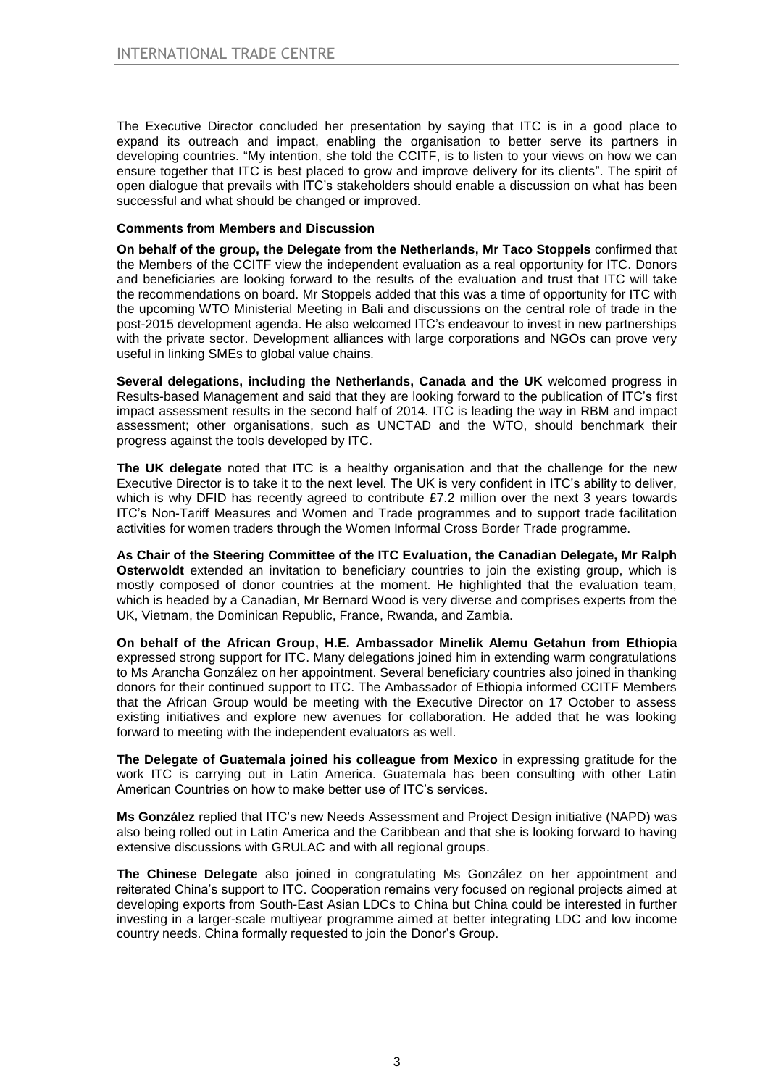The Executive Director concluded her presentation by saying that ITC is in a good place to expand its outreach and impact, enabling the organisation to better serve its partners in developing countries. "My intention, she told the CCITF, is to listen to your views on how we can ensure together that ITC is best placed to grow and improve delivery for its clients". The spirit of open dialogue that prevails with ITC's stakeholders should enable a discussion on what has been successful and what should be changed or improved.

## **Comments from Members and Discussion**

**On behalf of the group, the Delegate from the Netherlands, Mr Taco Stoppels** confirmed that the Members of the CCITF view the independent evaluation as a real opportunity for ITC. Donors and beneficiaries are looking forward to the results of the evaluation and trust that ITC will take the recommendations on board. Mr Stoppels added that this was a time of opportunity for ITC with the upcoming WTO Ministerial Meeting in Bali and discussions on the central role of trade in the post-2015 development agenda. He also welcomed ITC's endeavour to invest in new partnerships with the private sector. Development alliances with large corporations and NGOs can prove very useful in linking SMEs to global value chains.

**Several delegations, including the Netherlands, Canada and the UK** welcomed progress in Results-based Management and said that they are looking forward to the publication of ITC's first impact assessment results in the second half of 2014. ITC is leading the way in RBM and impact assessment; other organisations, such as UNCTAD and the WTO, should benchmark their progress against the tools developed by ITC.

**The UK delegate** noted that ITC is a healthy organisation and that the challenge for the new Executive Director is to take it to the next level. The UK is very confident in ITC's ability to deliver, which is why DFID has recently agreed to contribute £7.2 million over the next 3 years towards ITC's Non-Tariff Measures and Women and Trade programmes and to support trade facilitation activities for women traders through the Women Informal Cross Border Trade programme.

**As Chair of the Steering Committee of the ITC Evaluation, the Canadian Delegate, Mr Ralph Osterwoldt** extended an invitation to beneficiary countries to join the existing group, which is mostly composed of donor countries at the moment. He highlighted that the evaluation team, which is headed by a Canadian, Mr Bernard Wood is very diverse and comprises experts from the UK, Vietnam, the Dominican Republic, France, Rwanda, and Zambia.

**On behalf of the African Group, H.E. Ambassador Minelik Alemu Getahun from Ethiopia** expressed strong support for ITC. Many delegations joined him in extending warm congratulations to Ms Arancha González on her appointment. Several beneficiary countries also joined in thanking donors for their continued support to ITC. The Ambassador of Ethiopia informed CCITF Members that the African Group would be meeting with the Executive Director on 17 October to assess existing initiatives and explore new avenues for collaboration. He added that he was looking forward to meeting with the independent evaluators as well.

**The Delegate of Guatemala joined his colleague from Mexico** in expressing gratitude for the work ITC is carrying out in Latin America. Guatemala has been consulting with other Latin American Countries on how to make better use of ITC's services.

**Ms González** replied that ITC's new Needs Assessment and Project Design initiative (NAPD) was also being rolled out in Latin America and the Caribbean and that she is looking forward to having extensive discussions with GRULAC and with all regional groups.

**The Chinese Delegate** also joined in congratulating Ms González on her appointment and reiterated China's support to ITC. Cooperation remains very focused on regional projects aimed at developing exports from South-East Asian LDCs to China but China could be interested in further investing in a larger-scale multiyear programme aimed at better integrating LDC and low income country needs. China formally requested to join the Donor's Group.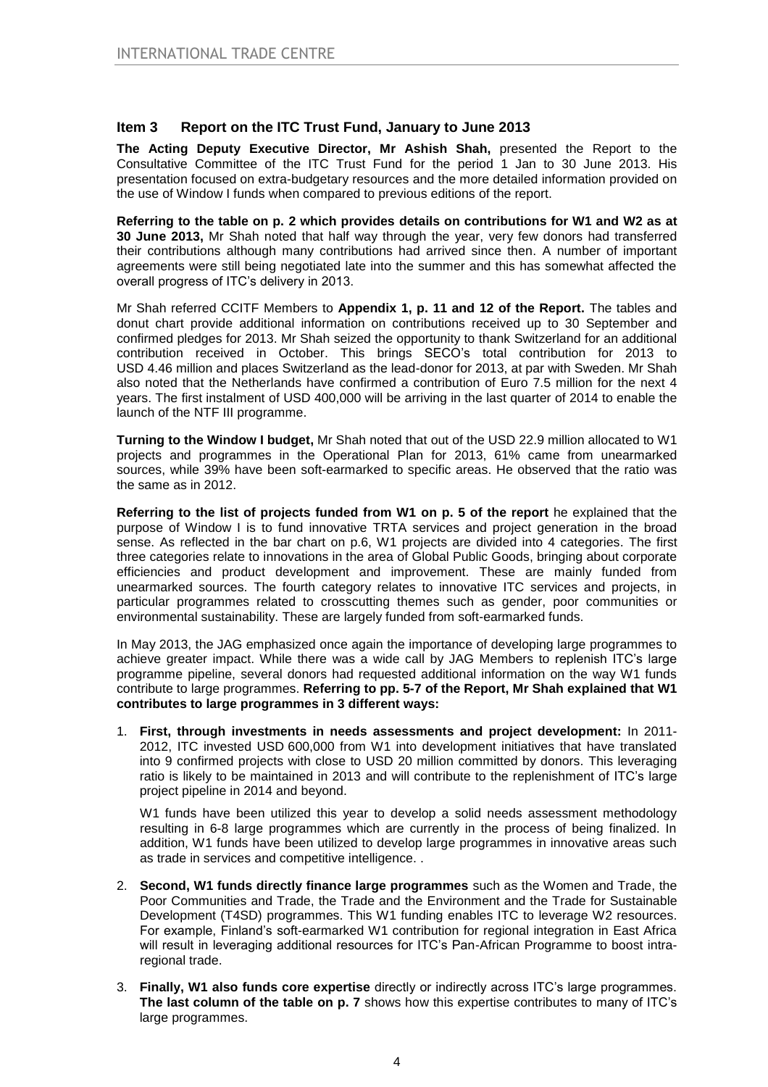## **Item 3 Report on the ITC Trust Fund, January to June 2013**

**The Acting Deputy Executive Director, Mr Ashish Shah,** presented the Report to the Consultative Committee of the ITC Trust Fund for the period 1 Jan to 30 June 2013. His presentation focused on extra-budgetary resources and the more detailed information provided on the use of Window I funds when compared to previous editions of the report.

**Referring to the table on p. 2 which provides details on contributions for W1 and W2 as at 30 June 2013,** Mr Shah noted that half way through the year, very few donors had transferred their contributions although many contributions had arrived since then. A number of important agreements were still being negotiated late into the summer and this has somewhat affected the overall progress of ITC's delivery in 2013.

Mr Shah referred CCITF Members to **Appendix 1, p. 11 and 12 of the Report.** The tables and donut chart provide additional information on contributions received up to 30 September and confirmed pledges for 2013. Mr Shah seized the opportunity to thank Switzerland for an additional contribution received in October. This brings SECO's total contribution for 2013 to USD 4.46 million and places Switzerland as the lead-donor for 2013, at par with Sweden. Mr Shah also noted that the Netherlands have confirmed a contribution of Euro 7.5 million for the next 4 years. The first instalment of USD 400,000 will be arriving in the last quarter of 2014 to enable the launch of the NTF III programme.

**Turning to the Window I budget,** Mr Shah noted that out of the USD 22.9 million allocated to W1 projects and programmes in the Operational Plan for 2013, 61% came from unearmarked sources, while 39% have been soft-earmarked to specific areas. He observed that the ratio was the same as in 2012.

**Referring to the list of projects funded from W1 on p. 5 of the report** he explained that the purpose of Window I is to fund innovative TRTA services and project generation in the broad sense. As reflected in the bar chart on p.6, W1 projects are divided into 4 categories. The first three categories relate to innovations in the area of Global Public Goods, bringing about corporate efficiencies and product development and improvement. These are mainly funded from unearmarked sources. The fourth category relates to innovative ITC services and projects, in particular programmes related to crosscutting themes such as gender, poor communities or environmental sustainability. These are largely funded from soft-earmarked funds.

In May 2013, the JAG emphasized once again the importance of developing large programmes to achieve greater impact. While there was a wide call by JAG Members to replenish ITC's large programme pipeline, several donors had requested additional information on the way W1 funds contribute to large programmes. **Referring to pp. 5-7 of the Report, Mr Shah explained that W1 contributes to large programmes in 3 different ways:**

1. **First, through investments in needs assessments and project development:** In 2011- 2012, ITC invested USD 600,000 from W1 into development initiatives that have translated into 9 confirmed projects with close to USD 20 million committed by donors. This leveraging ratio is likely to be maintained in 2013 and will contribute to the replenishment of ITC's large project pipeline in 2014 and beyond.

W1 funds have been utilized this year to develop a solid needs assessment methodology resulting in 6-8 large programmes which are currently in the process of being finalized. In addition, W1 funds have been utilized to develop large programmes in innovative areas such as trade in services and competitive intelligence. .

- 2. **Second, W1 funds directly finance large programmes** such as the Women and Trade, the Poor Communities and Trade, the Trade and the Environment and the Trade for Sustainable Development (T4SD) programmes. This W1 funding enables ITC to leverage W2 resources. For example, Finland's soft-earmarked W1 contribution for regional integration in East Africa will result in leveraging additional resources for ITC's Pan-African Programme to boost intraregional trade.
- 3. **Finally, W1 also funds core expertise** directly or indirectly across ITC's large programmes. **The last column of the table on p. 7** shows how this expertise contributes to many of ITC's large programmes.